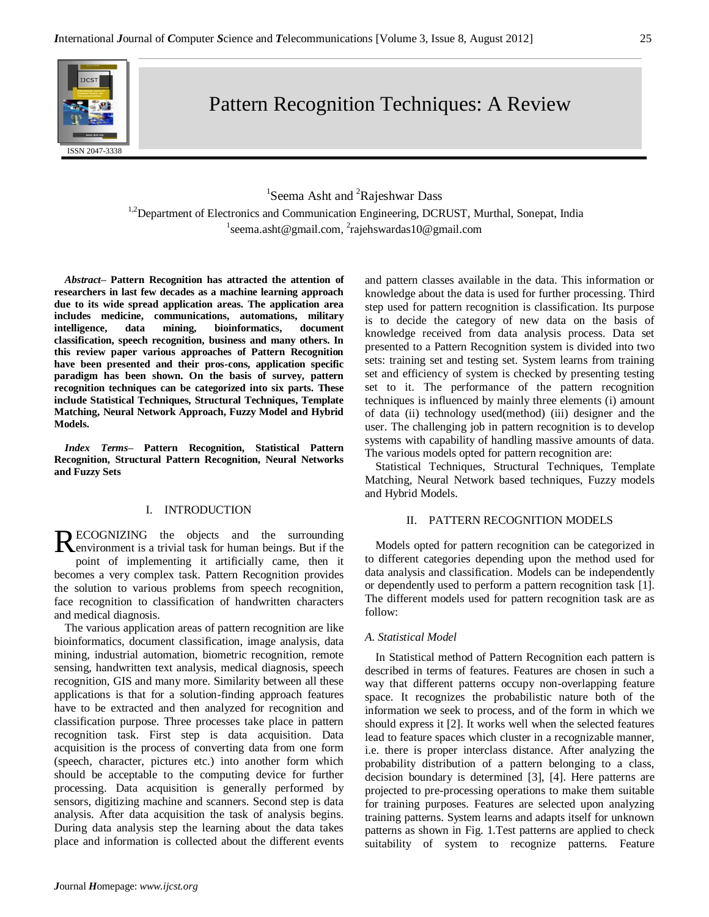

# Pattern Recognition Techniques: A Review

# <sup>1</sup>Seema Asht and <sup>2</sup>Rajeshwar Dass

<sup>1,2</sup>Department of Electronics and Communication Engineering, DCRUST, Murthal, Sonepat, India <sup>1</sup>seema.asht@gmail.com, <sup>2</sup>rajehswardas10@gmail.com

*Abstract–* **Pattern Recognition has attracted the attention of researchers in last few decades as a machine learning approach due to its wide spread application areas. The application area includes medicine, communications, automations, military intelligence, data mining, bioinformatics, document classification, speech recognition, business and many others. In this review paper various approaches of Pattern Recognition have been presented and their pros-cons, application specific paradigm has been shown. On the basis of survey, pattern recognition techniques can be categorized into six parts. These include Statistical Techniques, Structural Techniques, Template Matching, Neural Network Approach, Fuzzy Model and Hybrid Models.**

*Index Terms–* **Pattern Recognition, Statistical Pattern Recognition, Structural Pattern Recognition, Neural Networks and Fuzzy Sets**

# I. INTRODUCTION

ECOGNIZING the objects and the surrounding RECOGNIZING the objects and the surrounding<br>Renvironment is a trivial task for human beings. But if the point of implementing it artificially came, then it becomes a very complex task. Pattern Recognition provides the solution to various problems from speech recognition, face recognition to classification of handwritten characters and medical diagnosis.

The various application areas of pattern recognition are like bioinformatics, document classification, image analysis, data mining, industrial automation, biometric recognition, remote sensing, handwritten text analysis, medical diagnosis, speech recognition, GIS and many more. Similarity between all these applications is that for a solution-finding approach features have to be extracted and then analyzed for recognition and classification purpose. Three processes take place in pattern recognition task. First step is data acquisition. Data acquisition is the process of converting data from one form (speech, character, pictures etc.) into another form which should be acceptable to the computing device for further processing. Data acquisition is generally performed by sensors, digitizing machine and scanners. Second step is data analysis. After data acquisition the task of analysis begins. During data analysis step the learning about the data takes place and information is collected about the different events and pattern classes available in the data. This information or knowledge about the data is used for further processing. Third step used for pattern recognition is classification. Its purpose is to decide the category of new data on the basis of knowledge received from data analysis process. Data set presented to a Pattern Recognition system is divided into two sets: training set and testing set. System learns from training set and efficiency of system is checked by presenting testing set to it. The performance of the pattern recognition techniques is influenced by mainly three elements (i) amount of data (ii) technology used(method) (iii) designer and the user. The challenging job in pattern recognition is to develop systems with capability of handling massive amounts of data. The various models opted for pattern recognition are:

Statistical Techniques, Structural Techniques, Template Matching, Neural Network based techniques, Fuzzy models and Hybrid Models.

## II. PATTERN RECOGNITION MODELS

Models opted for pattern recognition can be categorized in to different categories depending upon the method used for data analysis and classification. Models can be independently or dependently used to perform a pattern recognition task [1]. The different models used for pattern recognition task are as follow:

# *A. Statistical Model*

In Statistical method of Pattern Recognition each pattern is described in terms of features. Features are chosen in such a way that different patterns occupy non-overlapping feature space. It recognizes the probabilistic nature both of the information we seek to process, and of the form in which we should express it [2]. It works well when the selected features lead to feature spaces which cluster in a recognizable manner, i.e. there is proper interclass distance. After analyzing the probability distribution of a pattern belonging to a class, decision boundary is determined [3], [4]. Here patterns are projected to pre-processing operations to make them suitable for training purposes. Features are selected upon analyzing training patterns. System learns and adapts itself for unknown patterns as shown in Fig. 1.Test patterns are applied to check suitability of system to recognize patterns. Feature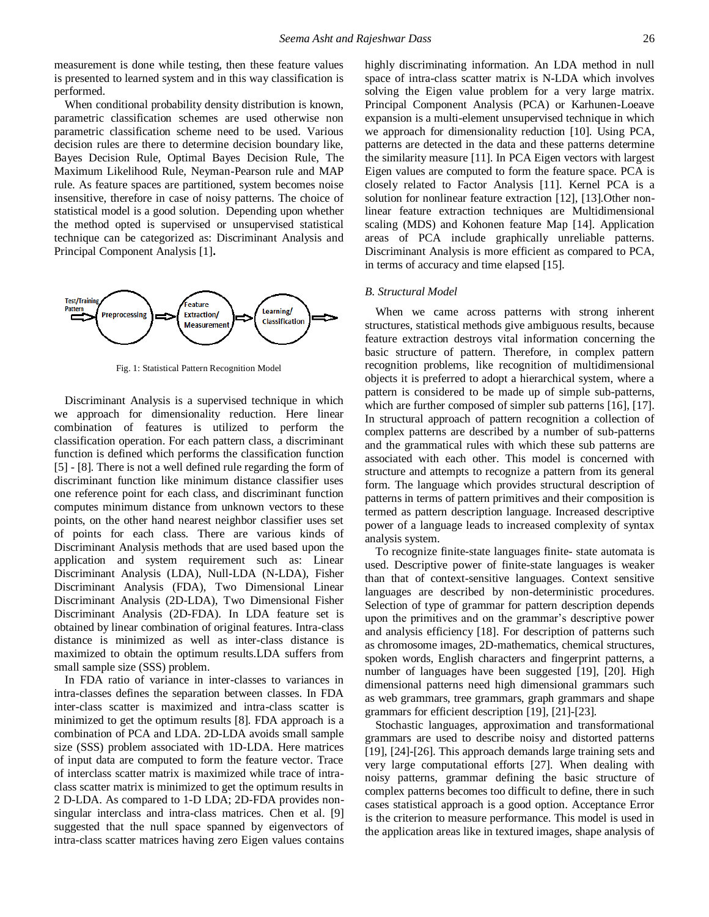measurement is done while testing, then these feature values is presented to learned system and in this way classification is performed.

When conditional probability density distribution is known, parametric classification schemes are used otherwise non parametric classification scheme need to be used. Various decision rules are there to determine decision boundary like, Bayes Decision Rule, Optimal Bayes Decision Rule, The Maximum Likelihood Rule, Neyman-Pearson rule and MAP rule. As feature spaces are partitioned, system becomes noise insensitive, therefore in case of noisy patterns. The choice of statistical model is a good solution. Depending upon whether the method opted is supervised or unsupervised statistical technique can be categorized as: Discriminant Analysis and Principal Component Analysis [1]**.**



Fig. 1: Statistical Pattern Recognition Model

Discriminant Analysis is a supervised technique in which we approach for dimensionality reduction. Here linear combination of features is utilized to perform the classification operation. For each pattern class, a discriminant function is defined which performs the classification function [5] - [8]. There is not a well defined rule regarding the form of discriminant function like minimum distance classifier uses one reference point for each class, and discriminant function computes minimum distance from unknown vectors to these points, on the other hand nearest neighbor classifier uses set of points for each class. There are various kinds of Discriminant Analysis methods that are used based upon the application and system requirement such as: Linear Discriminant Analysis (LDA), Null-LDA (N-LDA), Fisher Discriminant Analysis (FDA), Two Dimensional Linear Discriminant Analysis (2D-LDA), Two Dimensional Fisher Discriminant Analysis (2D-FDA). In LDA feature set is obtained by linear combination of original features. Intra-class distance is minimized as well as inter-class distance is maximized to obtain the optimum results.LDA suffers from small sample size (SSS) problem.

In FDA ratio of variance in inter-classes to variances in intra-classes defines the separation between classes. In FDA inter-class scatter is maximized and intra-class scatter is minimized to get the optimum results [8]. FDA approach is a combination of PCA and LDA. 2D-LDA avoids small sample size (SSS) problem associated with 1D-LDA. Here matrices of input data are computed to form the feature vector. Trace of interclass scatter matrix is maximized while trace of intraclass scatter matrix is minimized to get the optimum results in 2 D-LDA. As compared to 1-D LDA; 2D-FDA provides nonsingular interclass and intra-class matrices. Chen et al. [9] suggested that the null space spanned by eigenvectors of intra-class scatter matrices having zero Eigen values contains

highly discriminating information. An LDA method in null space of intra-class scatter matrix is N-LDA which involves solving the Eigen value problem for a very large matrix. Principal Component Analysis (PCA) or Karhunen-Loeave expansion is a multi-element unsupervised technique in which we approach for dimensionality reduction [10]. Using PCA, patterns are detected in the data and these patterns determine the similarity measure [11]. In PCA Eigen vectors with largest Eigen values are computed to form the feature space. PCA is closely related to Factor Analysis [11]. Kernel PCA is a solution for nonlinear feature extraction [12], [13].Other nonlinear feature extraction techniques are Multidimensional scaling (MDS) and Kohonen feature Map [14]. Application areas of PCA include graphically unreliable patterns. Discriminant Analysis is more efficient as compared to PCA, in terms of accuracy and time elapsed [15].

#### *B. Structural Model*

When we came across patterns with strong inherent structures, statistical methods give ambiguous results, because feature extraction destroys vital information concerning the basic structure of pattern. Therefore, in complex pattern recognition problems, like recognition of multidimensional objects it is preferred to adopt a hierarchical system, where a pattern is considered to be made up of simple sub-patterns, which are further composed of simpler sub patterns [16], [17]. In structural approach of pattern recognition a collection of complex patterns are described by a number of sub-patterns and the grammatical rules with which these sub patterns are associated with each other. This model is concerned with structure and attempts to recognize a pattern from its general form. The language which provides structural description of patterns in terms of pattern primitives and their composition is termed as pattern description language. Increased descriptive power of a language leads to increased complexity of syntax analysis system.

To recognize finite-state languages finite- state automata is used. Descriptive power of finite-state languages is weaker than that of context-sensitive languages. Context sensitive languages are described by non-deterministic procedures. Selection of type of grammar for pattern description depends upon the primitives and on the grammar's descriptive power and analysis efficiency [18]. For description of patterns such as chromosome images, 2D-mathematics, chemical structures, spoken words, English characters and fingerprint patterns, a number of languages have been suggested [19], [20]. High dimensional patterns need high dimensional grammars such as web grammars, tree grammars, graph grammars and shape grammars for efficient description [19], [21]-[23].

Stochastic languages, approximation and transformational grammars are used to describe noisy and distorted patterns [19], [24]-[26]. This approach demands large training sets and very large computational efforts [27]. When dealing with noisy patterns, grammar defining the basic structure of complex patterns becomes too difficult to define, there in such cases statistical approach is a good option. Acceptance Error is the criterion to measure performance. This model is used in the application areas like in textured images, shape analysis of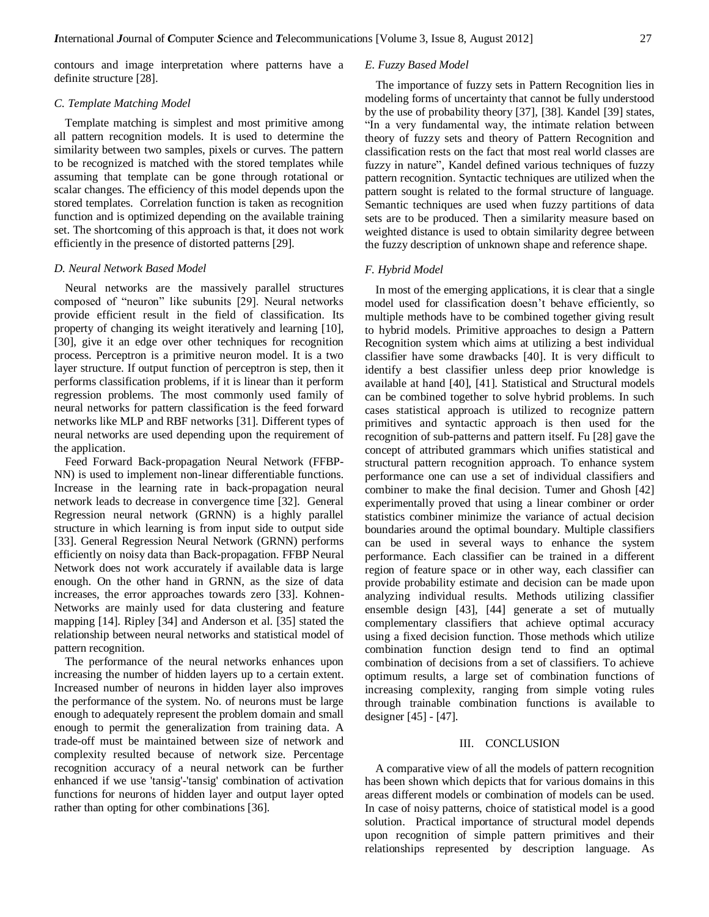contours and image interpretation where patterns have a definite structure [28].

# *C. Template Matching Model*

Template matching is simplest and most primitive among all pattern recognition models. It is used to determine the similarity between two samples, pixels or curves. The pattern to be recognized is matched with the stored templates while assuming that template can be gone through rotational or scalar changes. The efficiency of this model depends upon the stored templates. Correlation function is taken as recognition function and is optimized depending on the available training set. The shortcoming of this approach is that, it does not work efficiently in the presence of distorted patterns [29].

#### *D. Neural Network Based Model*

Neural networks are the massively parallel structures composed of "neuron" like subunits [29]. Neural networks provide efficient result in the field of classification. Its property of changing its weight iteratively and learning [10], [30], give it an edge over other techniques for recognition process. Perceptron is a primitive neuron model. It is a two layer structure. If output function of perceptron is step, then it performs classification problems, if it is linear than it perform regression problems. The most commonly used family of neural networks for pattern classification is the feed forward networks like MLP and RBF networks [31]. Different types of neural networks are used depending upon the requirement of the application.

Feed Forward Back-propagation Neural Network (FFBP-NN) is used to implement non-linear differentiable functions. Increase in the learning rate in back-propagation neural network leads to decrease in convergence time [32]. General Regression neural network (GRNN) is a highly parallel structure in which learning is from input side to output side [33]. General Regression Neural Network (GRNN) performs efficiently on noisy data than Back-propagation. FFBP Neural Network does not work accurately if available data is large enough. On the other hand in GRNN, as the size of data increases, the error approaches towards zero [33]. Kohnen-Networks are mainly used for data clustering and feature mapping [14]. Ripley [34] and Anderson et al. [35] stated the relationship between neural networks and statistical model of pattern recognition.

The performance of the neural networks enhances upon increasing the number of hidden layers up to a certain extent. Increased number of neurons in hidden layer also improves the performance of the system. No. of neurons must be large enough to adequately represent the problem domain and small enough to permit the generalization from training data. A trade-off must be maintained between size of network and complexity resulted because of network size. Percentage recognition accuracy of a neural network can be further enhanced if we use 'tansig'-'tansig' combination of activation functions for neurons of hidden layer and output layer opted rather than opting for other combinations [36].

# *E. Fuzzy Based Model*

The importance of fuzzy sets in Pattern Recognition lies in modeling forms of uncertainty that cannot be fully understood by the use of probability theory [37], [38]. Kandel [39] states, "In a very fundamental way, the intimate relation between theory of fuzzy sets and theory of Pattern Recognition and classification rests on the fact that most real world classes are fuzzy in nature", Kandel defined various techniques of fuzzy pattern recognition. Syntactic techniques are utilized when the pattern sought is related to the formal structure of language. Semantic techniques are used when fuzzy partitions of data sets are to be produced. Then a similarity measure based on weighted distance is used to obtain similarity degree between the fuzzy description of unknown shape and reference shape.

#### *F. Hybrid Model*

In most of the emerging applications, it is clear that a single model used for classification doesn't behave efficiently, so multiple methods have to be combined together giving result to hybrid models. Primitive approaches to design a Pattern Recognition system which aims at utilizing a best individual classifier have some drawbacks [40]. It is very difficult to identify a best classifier unless deep prior knowledge is available at hand [40], [41]. Statistical and Structural models can be combined together to solve hybrid problems. In such cases statistical approach is utilized to recognize pattern primitives and syntactic approach is then used for the recognition of sub-patterns and pattern itself. Fu [28] gave the concept of attributed grammars which unifies statistical and structural pattern recognition approach. To enhance system performance one can use a set of individual classifiers and combiner to make the final decision. Tumer and Ghosh [42] experimentally proved that using a linear combiner or order statistics combiner minimize the variance of actual decision boundaries around the optimal boundary. Multiple classifiers can be used in several ways to enhance the system performance. Each classifier can be trained in a different region of feature space or in other way, each classifier can provide probability estimate and decision can be made upon analyzing individual results. Methods utilizing classifier ensemble design [43], [44] generate a set of mutually complementary classifiers that achieve optimal accuracy using a fixed decision function. Those methods which utilize combination function design tend to find an optimal combination of decisions from a set of classifiers. To achieve optimum results, a large set of combination functions of increasing complexity, ranging from simple voting rules through trainable combination functions is available to designer [45] - [47].

#### III. CONCLUSION

A comparative view of all the models of pattern recognition has been shown which depicts that for various domains in this areas different models or combination of models can be used. In case of noisy patterns, choice of statistical model is a good solution. Practical importance of structural model depends upon recognition of simple pattern primitives and their relationships represented by description language. As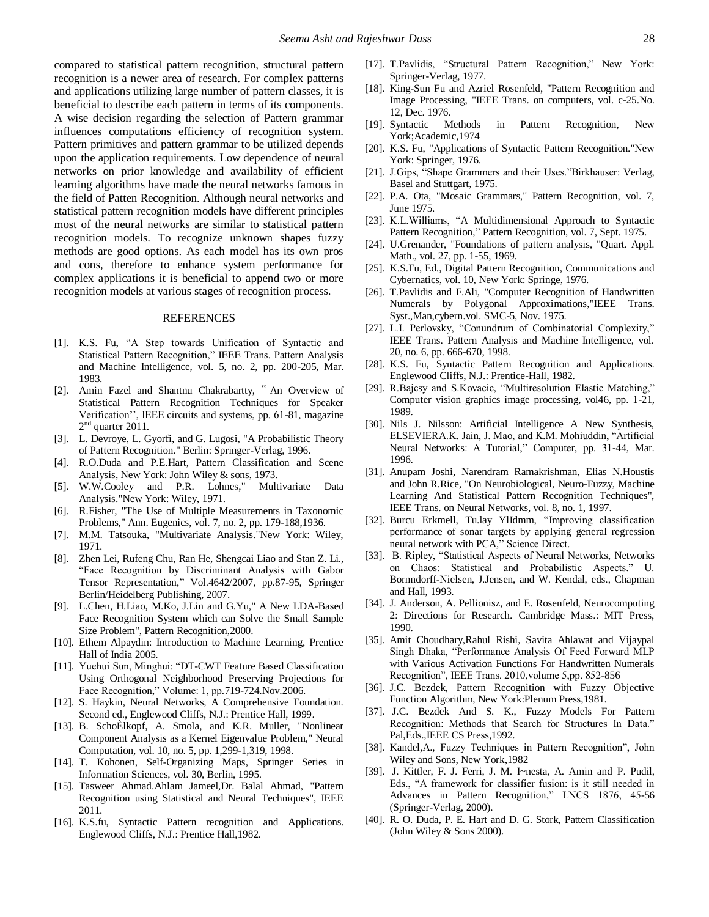compared to statistical pattern recognition, structural pattern recognition is a newer area of research. For complex patterns and applications utilizing large number of pattern classes, it is beneficial to describe each pattern in terms of its components. A wise decision regarding the selection of Pattern grammar influences computations efficiency of recognition system. Pattern primitives and pattern grammar to be utilized depends upon the application requirements. Low dependence of neural networks on prior knowledge and availability of efficient learning algorithms have made the neural networks famous in the field of Patten Recognition. Although neural networks and statistical pattern recognition models have different principles most of the neural networks are similar to statistical pattern recognition models. To recognize unknown shapes fuzzy methods are good options. As each model has its own pros and cons, therefore to enhance system performance for complex applications it is beneficial to append two or more recognition models at various stages of recognition process.

## REFERENCES

- [1]. K.S. Fu, "A Step towards Unification of Syntactic and Statistical Pattern Recognition," IEEE Trans. Pattern Analysis and Machine Intelligence, vol. 5, no. 2, pp. 200-205, Mar. 1983.
- [2]. Amin Fazel and Shantnu Chakrabartty, " An Overview of Statistical Pattern Recognition Techniques for Speaker Verification'', IEEE circuits and systems, pp. 61-81, magazine  $2<sup>nd</sup>$  quarter 2011.
- [3]. L. Devroye, L. Gyorfi, and G. Lugosi, "A Probabilistic Theory of Pattern Recognition." Berlin: Springer-Verlag, 1996.
- [4]. R.O.Duda and P.E.Hart, Pattern Classification and Scene Analysis, New York: John Wiley & sons, 1973.
- [5]. W.W.Cooley and P.R. Lohnes," Multivariate Data Analysis."New York: Wiley, 1971.
- [6]. R.Fisher, "The Use of Multiple Measurements in Taxonomic Problems," Ann. Eugenics, vol. 7, no. 2, pp. 179-188,1936.
- [7]. M.M. Tatsouka, "Multivariate Analysis."New York: Wiley, 1971.
- [8]. Zhen Lei, Rufeng Chu, Ran He, Shengcai Liao and Stan Z. Li., "Face Recognition by Discriminant Analysis with Gabor Tensor Representation," Vol.4642/2007, pp.87-95, Springer Berlin/Heidelberg Publishing, 2007.
- [9]. L.Chen, H.Liao, M.Ko, J.Lin and G.Yu," A New LDA-Based Face Recognition System which can Solve the Small Sample Size Problem", Pattern Recognition,2000.
- [10]. Ethem Alpaydin: Introduction to Machine Learning, Prentice Hall of India 2005.
- [11]. Yuehui Sun, Minghui: "DT-CWT Feature Based Classification Using Orthogonal Neighborhood Preserving Projections for Face Recognition," Volume: 1, pp.719-724.Nov.2006.
- [12]. S. Haykin, Neural Networks, A Comprehensive Foundation. Second ed., Englewood Cliffs, N.J.: Prentice Hall, 1999.
- [13]. B. SchoÈlkopf, A. Smola, and K.R. Muller, "Nonlinear Component Analysis as a Kernel Eigenvalue Problem," Neural Computation, vol. 10, no. 5, pp. 1,299-1,319, 1998.
- [14]. T. Kohonen, Self-Organizing Maps, Springer Series in Information Sciences, vol. 30, Berlin, 1995.
- [15]. Tasweer Ahmad.Ahlam Jameel,Dr. Balal Ahmad, "Pattern Recognition using Statistical and Neural Techniques", IEEE 2011.
- [16]. K.S.fu, Syntactic Pattern recognition and Applications. Englewood Cliffs, N.J.: Prentice Hall,1982.
- [17]. T.Pavlidis, "Structural Pattern Recognition," New York: Springer-Verlag, 1977.
- [18]. King-Sun Fu and Azriel Rosenfeld, "Pattern Recognition and Image Processing, "IEEE Trans. on computers, vol. c-25.No. 12, Dec. 1976.
- [19]. Syntactic Methods in Pattern Recognition, New York;Academic,1974
- [20]. K.S. Fu, "Applications of Syntactic Pattern Recognition."New York: Springer, 1976.
- [21]. J.Gips, "Shape Grammers and their Uses."Birkhauser: Verlag, Basel and Stuttgart, 1975.
- [22]. P.A. Ota, "Mosaic Grammars," Pattern Recognition, vol. 7, June 1975.
- [23]. K.L.Williams, "A Multidimensional Approach to Syntactic Pattern Recognition," Pattern Recognition, vol. 7, Sept. 1975.
- [24]. U.Grenander, "Foundations of pattern analysis, "Quart. Appl. Math., vol. 27, pp. 1-55, 1969.
- [25]. K.S.Fu, Ed., Digital Pattern Recognition, Communications and Cybernatics, vol. 10, New York: Springe, 1976.
- [26]. T.Pavlidis and F.Ali, "Computer Recognition of Handwritten Numerals by Polygonal Approximations,"IEEE Trans. Syst.,Man,cybern.vol. SMC-5, Nov. 1975.
- [27]. L.I. Perlovsky, "Conundrum of Combinatorial Complexity," IEEE Trans. Pattern Analysis and Machine Intelligence, vol. 20, no. 6, pp. 666-670, 1998.
- [28]. K.S. Fu, Syntactic Pattern Recognition and Applications. Englewood Cliffs, N.J.: Prentice-Hall, 1982.
- [29]. R.Bajcsy and S.Kovacic, "Multiresolution Elastic Matching," Computer vision graphics image processing, vol46, pp. 1-21, 1989.
- [30]. Nils J. Nilsson: Artificial Intelligence A New Synthesis, ELSEVIERA.K. Jain, J. Mao, and K.M. Mohiuddin, "Artificial Neural Networks: A Tutorial," Computer, pp. 31-44, Mar. 1996.
- [31]. Anupam Joshi, Narendram Ramakrishman, Elias N.Houstis and John R.Rice, "On Neurobiological, Neuro-Fuzzy, Machine Learning And Statistical Pattern Recognition Techniques", IEEE Trans. on Neural Networks, vol. 8, no. 1, 1997.
- [32]. Burcu Erkmell, Tu.lay YlIdmm, "Improving classification performance of sonar targets by applying general regression neural network with PCA," Science Direct.
- [33]. B. Ripley, "Statistical Aspects of Neural Networks, Networks on Chaos: Statistical and Probabilistic Aspects." U. Bornndorff-Nielsen, J.Jensen, and W. Kendal, eds., Chapman and Hall, 1993.
- [34]. J. Anderson, A. Pellionisz, and E. Rosenfeld, Neurocomputing 2: Directions for Research. Cambridge Mass.: MIT Press, 1990.
- [35]. Amit Choudhary,Rahul Rishi, Savita Ahlawat and Vijaypal Singh Dhaka, "Performance Analysis Of Feed Forward MLP with Various Activation Functions For Handwritten Numerals Recognition", IEEE Trans. 2010,volume 5,pp. 852-856
- [36]. J.C. Bezdek, Pattern Recognition with Fuzzy Objective Function Algorithm, New York:Plenum Press,1981.
- [37]. J.C. Bezdek And S. K., Fuzzy Models For Pattern Recognition: Methods that Search for Structures In Data." Pal,Eds.,IEEE CS Press,1992.
- [38]. Kandel,A., Fuzzy Techniques in Pattern Recognition", John Wiley and Sons, New York,1982
- [39]. J. Kittler, F. J. Ferri, J. M. I~nesta, A. Amin and P. Pudil, Eds., "A framework for classifier fusion: is it still needed in Advances in Pattern Recognition," LNCS 1876, 45-56 (Springer-Verlag, 2000).
- [40]. R. O. Duda, P. E. Hart and D. G. Stork, Pattern Classification (John Wiley & Sons 2000).